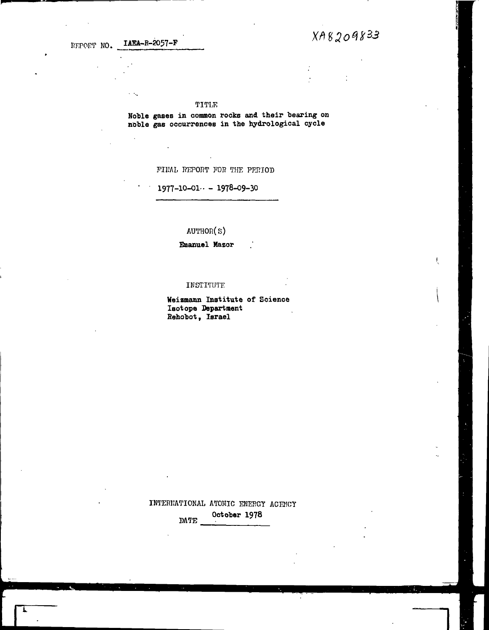REPORT NO. JAEA-R-2057-F

 $\ddotsc$ 

 $\mathbf{r}$ 

 $XAB209833$ 

#### TlTLK

Noble gases in common rocks and their bearing on **noble gas occurrences in the hydrological cycle**

FIRAL REPORT FOR THE PERIOD

## **1977-10-01-- - 1978-09-30**

AUTHOR(s)

**Emanuel Mazor**

#### INSTITUTE

**Weizmann Institute of Science Isotope Department Rehobot, Israel**

INTERKATIOKAL ATOMIC ENERGY AGENCY **October 1978** DATE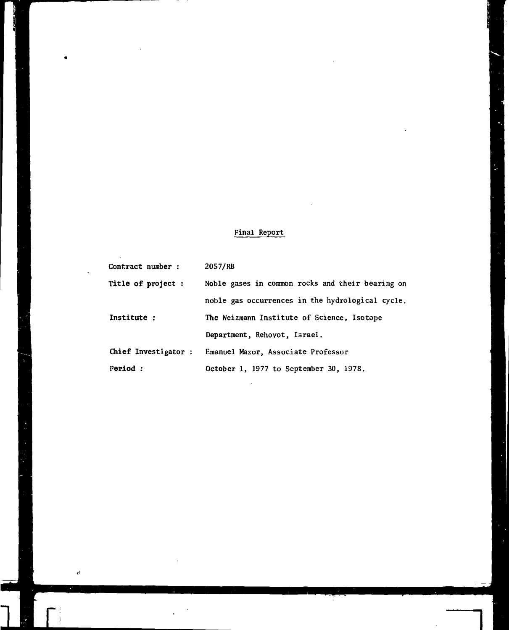# Final Report

| Contract number :    | 2057/RB                                          |
|----------------------|--------------------------------------------------|
| Title of project :   | Noble gases in common rocks and their bearing on |
|                      | noble gas occurrences in the hydrological cycle. |
| Institute:           | The Weizmann Institute of Science, Isotope       |
|                      | Department, Rehovot, Israel.                     |
| Chief Investigator : | Emanuel Mazor, Associate Professor               |
| Period:              | October 1, 1977 to September 30, 1978.           |

 $\ell^{\xi}$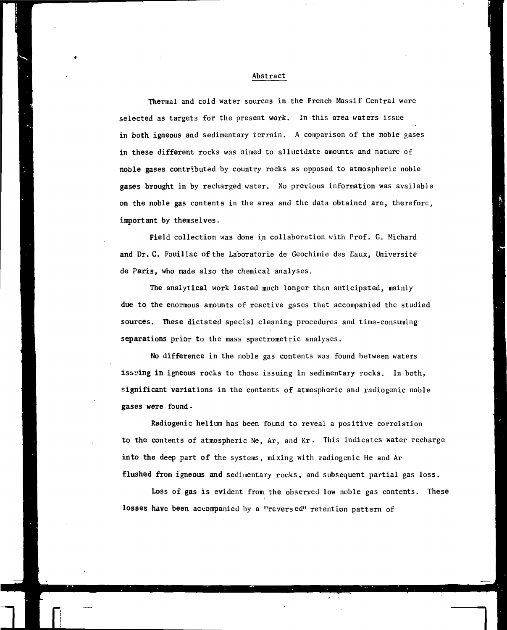## Abstract

Thermal and cold water sources in the French Massif Central were selected as targets for the present work. In this area waters issue in both igneous and sedimentary terrain. A comparison of the noble gases in these different rocks was aimed to allucidate amounts and nature of noble gases contributed by country rocks as opposed to atmospheric noble gases brought in by recharged water. No previous information was available on the noble gas contents in the area and the data obtained are, therefore, important by themselves.

Field collection was done in collaboration with Prof. G. Michard and Dr. C. Fouillac of the Laboratorie de Geochimie des Eaux, Universite de Paris, who made also the chemical analyses.

The analytical work lasted much longer than anticipated, mainly due to the enormous amounts of reactive gases that accompanied the studied sources. These dictated special cleaning procedures and time-consuming separations prior to the mass spectrometric analyses.

No difference in the noble gas contents was found between waters issuing in igneous rocks to those issuing in sedimentary rocks. In both, significant variations in the contents of atmospheric and radiogenic noble gases were found •

Radiogenic helium has been found to reveal a positive correlation to the contents of atmospheric Ne, Ar, and Kr. This indicates water recharge into the deep part of the systems, mixing with radiogenic He and Ar flushed from igneous and sedimentary rocks, and subsequent partial gas loss.

Loss of gas is evident from, the observed low noble gas contents. These i losses have been accompanied by a "revers ed" retention pattern of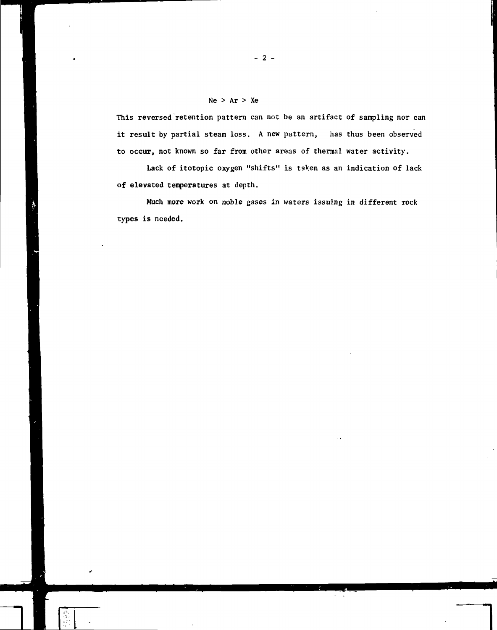## $Ne$  >  $Ar$  >  $Xe$

This reversed retention pattern can not be an artifact of sampling nor can it result by partial steam loss. A new pattern, has thus been observed to occur, not known so far from other areas of thermal water activity.

Lack of itotopic oxygen "shifts" is tsken as an indication of lack of elevated temperatures at depth.

Much more work on noble gases in waters issuing in different rock types is needed.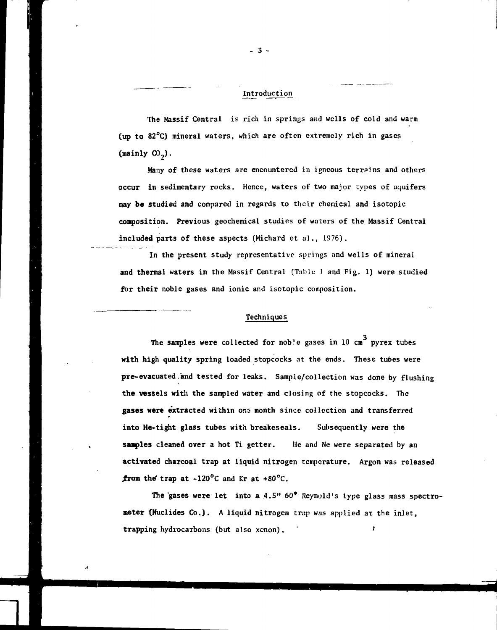## Introduction

The Massif Central is rich in springs and wells of cold and warm (up to 82°C) mineral waters, which are often extremely rich in gases (mainly  $CO<sub>2</sub>$ ).

Many of these waters are encountered in igneous terrains and others occur in sedimentary rocks. Hence, waters of two major types of aquifers may be studied and compared in regards to their chemical and isotopic composition. Previous geochemical studies of waters of the Massif Central included parts of these aspects (Michard et al., 1976).

In the present study representative springs and wells of mineral and thermal waters in the Massif Central (Table J and Fig. 1) were studied for their noble gases and ionic and isotopic composition.

#### Techniques

The samples were collected for noble gases in 10 cm<sup>3</sup> pyrex tubes with high quality spring loaded stopcocks at the ends. These tubes were pre-evacuated.and tested for leaks. Sample/collection was done by flushing the vessels with the sampled water and closing of the stopcocks. The gases were extracted within one month since collection and transferred into He-tight glass tubes with breakeseals. Subsequently were the samples cleaned over a hot Ti getter. lie and Ne were separated by an activated charcoal trap at liquid nitrogen temperature. Argon was released from the trap at  $-120^{\circ}$ C and Kr at  $+80^{\circ}$ C.

The 'gases were let into a  $4.5"$  60° Reynold's type glass mass spectrometer (Nuclides Co.). A liquid nitrogen trap was applied at the inlet, trapping hydrocarbons (but also xenon). ' '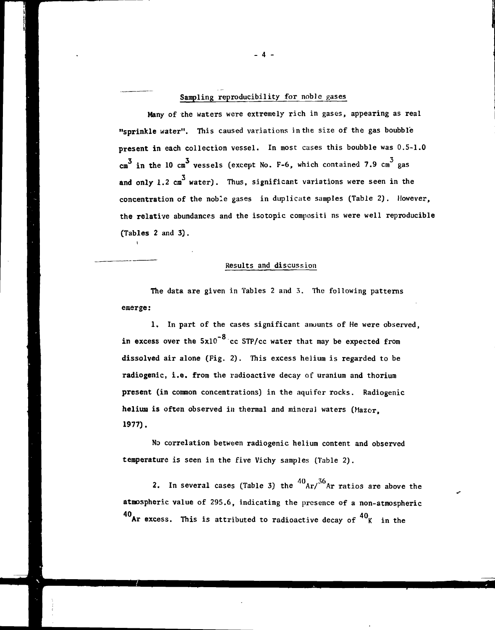# Sampling reproducibility for noble gases

Many of the waters were extremely rich in gases, appearing as real "sprinkle water". This caused variations in the size of the gas boubble present in each collection vessel. In most cases this boubble was 0.5-1.0  $\begin{smallmatrix} &3&\&3\&\texttt{cm}^3\end{smallmatrix}$  in the 10 cm  $^3$  vessels (except No. F-6, which contained 7.9 cm  $^3$  gas and only 1.2  $\text{cm}^3$  water). Thus, significant variations were seen in the concentration of the noble gases in duplicate samples (Table 2). However, the relative abundances and the isotopic compositi ns were well reproducible (Tables 2 and 3).

### Results and discussion

The data are given in Tables 2 and 3. The following patterns emerge:

1. In part of the cases significant amounts of He were observed, in excess over the  $5x10^{-8}$  cc STP/cc water that may be expected from dissolved air alone (Fig. 2). This excess helium is regarded to be radiogenic, i.e. from the radioactive decay of uranium and thorium present (in common concentrations) in the aquifer rocks. Radiogenic helium is often observed in thermal and mineral waters (Mazor, 1977).

No correlation between radiogenic helium content and observed temperature is seen in the five Vichy samples (Table 2).

2. In several cases (Table 3) the  ${}^{40}$ Ar/ ${}^{36}$ Ar ratios are above the atmospheric value of 295.6, indicating the presence of a non-atmospheric  $40$ Ar excess. This is attributed to radioactive decay of  $40$ <sub>K</sub> in the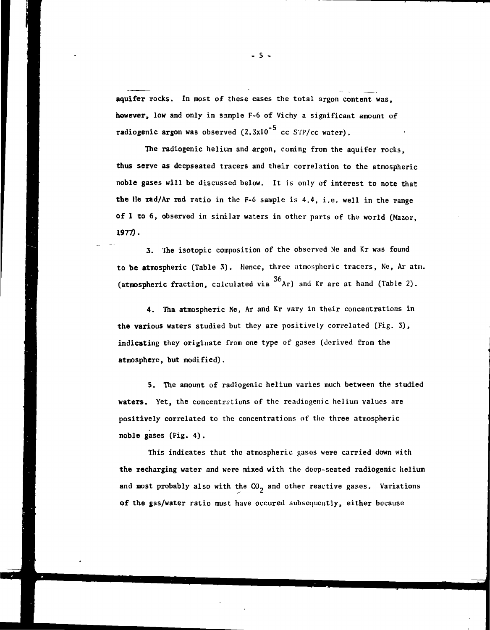aquifer rocks. In most of these cases the total argon content was, however, low and only in sample F-6 of Vichy a significant amount of radiogenic argon was observed  $(2.3x10^{-5}$  cc STP/cc water).

The radiogenic helium and argon, coming from the aquifer rocks, thus serve as deepseated tracers and their correlation to the atmospheric noble gases will be discussed below. It is only of interest to note that the He rad/Ar rad ratio in the F-6 sample is 4.4, i.e. well in the range of 1 to 6, observed in similar waters in other parts of the world (Mazor,  $1977$ .

3. The isotopic composition of the observed Ne and Kr was found to be atmospheric (Table 3). Hence, three atmospheric tracers, Ne, Ar atm. (atmospheric fraction, calculated via  $36$ Ar) and Kr are at hand (Table 2).

4. Tha atmospheric Ne, Ar and Kr vary in their concentrations in the various waters studied but they are positively correlated (Fig. 3), indicating they originate from one type of gases (derived from the atmosphere, but modified).

5. The amount of radiogenic helium varies much between the studied waters. Yet, the concentrations of the readiogenic helium values are positively correlated to the concentrations of the three atmospheric noble gases (Fig. 4).

This indicates that the atmospheric gases were carried down with the recharging water and were mixed with the deep-seated radiogenic helium and most probably also with the  $CO<sub>2</sub>$  and other reactive gases. Variations of the gas/water ratio must have occured subsequently, either because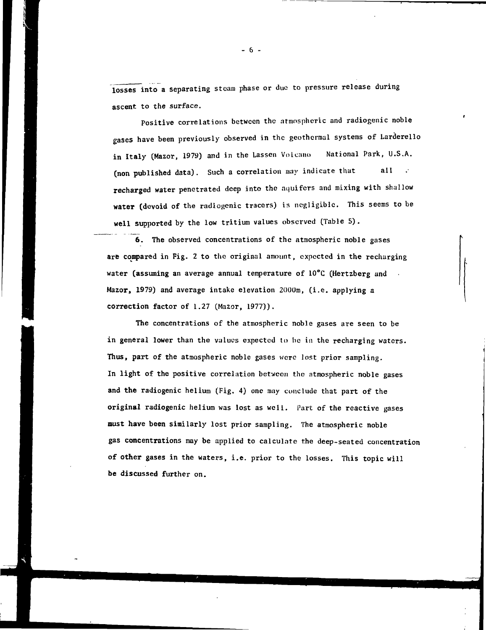losses into a separating steam phase or due to pressure release during ascent to the surface.

Positive correlations between the atmospheric and radiogenic noble gases have been previously observed in the geothermal systems of Larderello in Italy (Mazor, 1979) and in the Lassen Volcano National Park, U.S.A. (non published data). Such a correlation may indicate that all recharged water penetrated deep into the aquifers and mixing with shallow water (devoid of the radiogenic tracers) is negligible. This seems to be well supported by the low tritium values observed (Table 5).

6. The observed concentrations of the atmospheric noble gases are compared in Fig. 2 to the original amount, expected in the recharging water (assuming an average annual temperature of  $10^{\circ}$ C (Hertzberg and Mazor, 1979) and average intake elevation 2000m, (i.e. applying a correction factor of 1.27 (Mazor, 1977)).

The concentrations of the atmospheric noble gases are seen to be in general lower than the values expected to be in the recharging waters. Thus, part of the atmospheric noble gases were lost prior sampling. In light of the positive correlation between the atmospheric noble gases and the radiogenic helium (Fig. 4) one may conclude that part of the original radiogenic helium was lost as well. Part of the reactive gases must have been similarly lost prior sampling. The atmospheric noble gas concentrations may be applied to calculate the deep-seated concentration of other gases in the waters, i.e. prior to the losses. This topic will be discussed further on.

- 6 -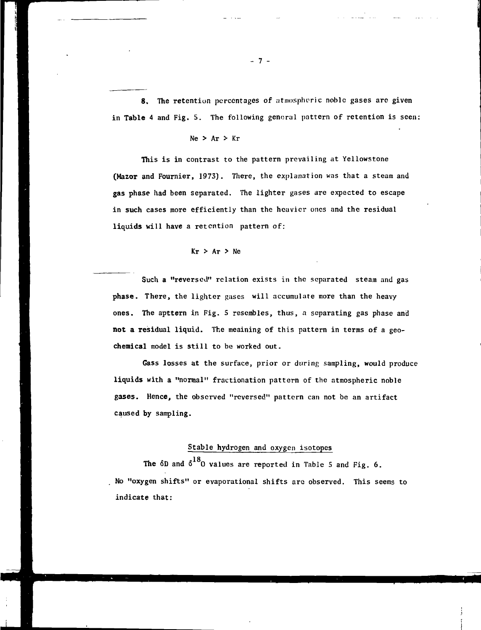8. The retention percentages of atmospheric noble gases are given in Table 4 and Fig. 5. The following general pattern of retention is seen:

## $Ne$  >  $Ar$  >  $Kr$

This is in contrast to the pattern prevailing at Yellowstone (Mazor and Fournier, 1973). There, the explanation was that a steam and gas phase had been separated. The lighter gases are expected to escape in such cases more efficiently than the heavier ones and the residual liquids will have a retention pattern of:

## $Kr$  > Ar > Ne

Such a "reversed" relation exists in the separated steam and gas phase. There, the lighter gases will accumulate more than the heavy ones. The apttern in Fig. 5 resembles, thus, a separating gas phase and not a residual liquid. The meaining of this pattern in terms of a geochemical model is still to be worked out.

Gass losses at the surface, prior or during sampling, would produce liquids with a "normal" fractionation pattern of the atmospheric noble gases. Hence, the observed "reversed" pattern can not be an artifact caused by sampling.

### Stable hydrogen and oxygen isotopes

The  $\delta$ D and  $\delta^{18}$ O values are reported in Table 5 and Fig. 6. No "oxygen shifts" or evaporational shifts are observed. This seems to indicate that: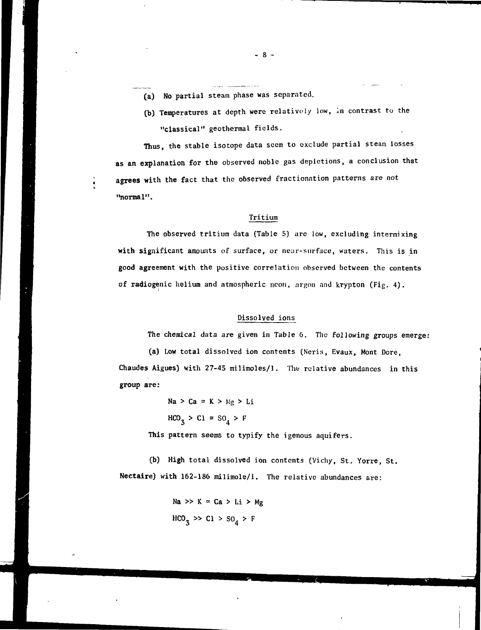- (a) No partial steam phase was separated.
- (b) Temperatures at depth were relatively low, in contrast to the "classical" geothermal fields.

Thus, the stable isotope data seem to exclude partial steam losses as an explanation for the observed noble gas depletions, a conclusion that agrees with the fact that the observed fractionation patterns are not "normal".

## Tritium

The observed tritium data (Table 5) are low, excluding intermixing with significant amounts of surface, or near-surface, waters. This is in good agreement with the positive correlation observed between the contents of radiogenic helium and atmospheric neon, argon and krypton (Fig. 4).

### Dissolved ions

The chemical data are given in Table 6. The following groups emerge:

(a) Low total dissolved ion contents (Neris, Evaux, Mont Dore, Chaudes Aigues) with 27-45 milimoles/1. The relative abundances in this group are:

 $Na > Ca \approx K > Mg > Li$  $HCO_3 > CI \approx SO_4 > F$ This pattern seems to typify the igenous aquifers.

(b) High total dissolved ion contents (Vichy, St, Yorre, St. Nectaire) with 162-186 milimole/1. The relative abundances are:

> Na >> K = Ca > Li > Mg  $HCO_{3} \gg CI > SO_{4} > F$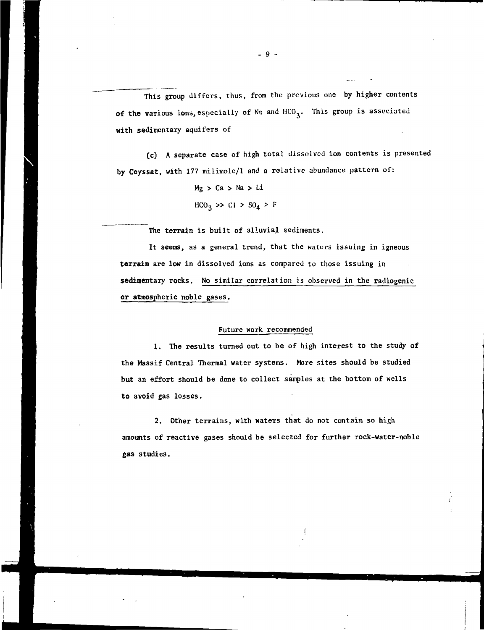This group differs, thus, from the previous one by higher contents of the various ions, especially of Na and HCO<sub>3</sub>. This group is associated with sedimentary aquifers of

(c) A separate case of high total dissolved ion contents is presented by Ceyssat, with 177 milimolc/1 and a relative abundance pattern of:

> Mg > Ca > Na > Li  $HCO_3 \gg CI > SO_4 > F$

The terrain is built of alluvial sediments.

It seems, as a general trend, that the waters issuing in igneous terrain are low in dissolved ions as compared to those issuing in sedimentary rocks. No similar correlation is observed in the radiogenic or atmospheric noble gases.

#### Future work recommended

1. The results turned out to be of high interest to the study of the Massif Central Thermal water systems. More sites should be studied but an effort should be done to collect samples at the bottom of wells to avoid gas losses.

2. Other terrains, with waters that do not contain so high amounts of reactive gases should be selected for further rock-water-noble gas studies.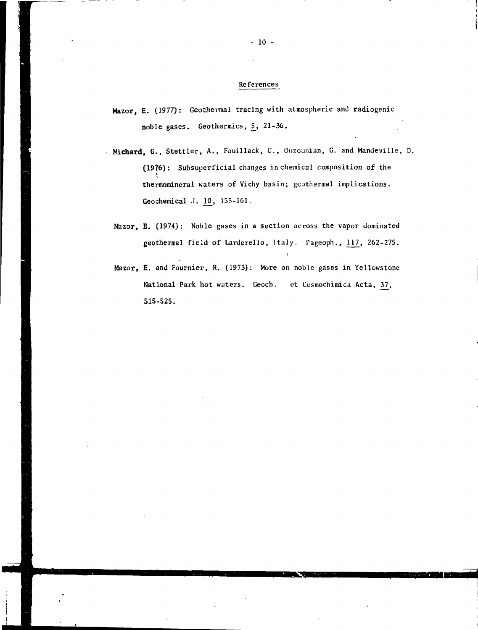### References

- Mazor, E. (1977): Geothermal tracing with atmospheric and radiogenic noble gases. Geothermics, 5, 21-36.
- Michard, G., Stettler, A., Fouillack, C., Ouzounian, G. and Mandeville, D. (1976): Subsuperficial changes in chemical composition of the t thermomineral waters of Vichy basin; geothermal implications. Geochemical J. 10, 155-161.
	- Mazor, E. (1974): Noble gases in a section across the vapor dominated geothermal field of Larderello, Italy. Pageoph., 117, 262-275.

i

Mazor, E. and Fournier, R. (1973): More on noble gases in Yellowstone National Park hot waters. Geoch. et Cosmochimica Acta, 37, S15-525.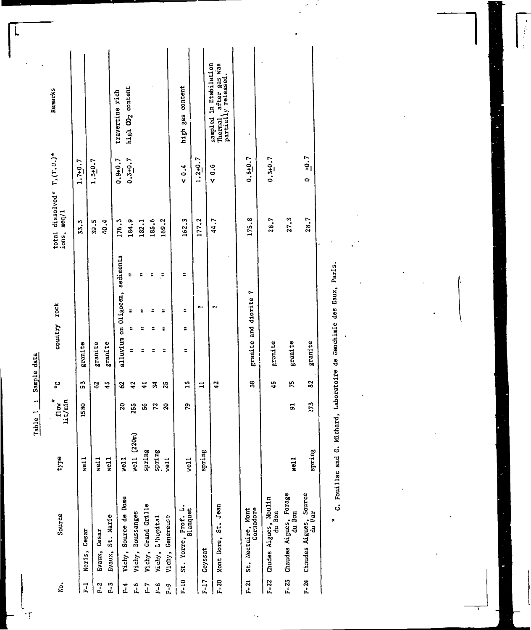Table 1 : Sample data

Ł 1ŗ

| ġ.              | Source                                | type        | $f$ low<br>$11t/\min$ | ر<br>ه     | country rock         |                                 | total dissolved* $T_2(T,U_1)^*$<br>ions, meq/1 |             | Remarks                                                                 |
|-----------------|---------------------------------------|-------------|-----------------------|------------|----------------------|---------------------------------|------------------------------------------------|-------------|-------------------------------------------------------------------------|
| $F - 1$         | Noris, Cesar                          | $w$ ell     | 1580                  | 53         | granite              |                                 | 33.3                                           | $1.7 + 0.7$ |                                                                         |
| $\frac{2}{\pi}$ | Evaux, Cesar                          | $w$ ell     |                       | S          | granite              |                                 | 39.5<br>40.4                                   | $1.3 + 0.7$ |                                                                         |
| $F-3$           | Evaux, St. Marie                      | vert1       |                       | 45         | granite              |                                 |                                                |             |                                                                         |
| $\frac{4}{5}$   | Vichy, Source de Dome                 | 4e11        | 20                    | 2          |                      | alluvium on Oligocen, sediments | 176.3                                          | $0.9 + 0.7$ | travertine rich                                                         |
| r. 6            | Vichy, Boussanges                     | well (220m) | 255                   | 42         | E<br>$\overline{a}$  | E                               | 184.9                                          | $0.3 + 0.7$ | high CO <sub>2</sub> content                                            |
| $F - 7$         | Vichy, Grand Grille                   | spring      | ន្ហ                   | $\ddot{a}$ | Ξ                    | ፡                               | 182.1                                          |             |                                                                         |
| 8<br>E-3        | Vichy, L'hopital                      | spring      | 22                    | z          | Ξ                    | Ξ<br>Ξ                          | 185.6                                          |             |                                                                         |
| a<br>L          | Vichy, Genereuse                      | $w$ ell     | S                     | 25         | ÷<br>÷               | ።<br>÷                          | 169.2                                          |             |                                                                         |
|                 | F-10 St. Yorre, Prof. L.<br>Blanquet  | well        | Ŗ,                    | 15         | ÷<br>E,              | t<br>÷                          | 162.3                                          | 2, 0, 4     | high gas content                                                        |
|                 | F-17 Ceyssat                          | spring      |                       | $\Xi$      |                      | e.,                             | 177.2                                          | $1.2 + 0.7$ |                                                                         |
|                 | F-20 Mont Dore, St. Jean              |             |                       | 42         |                      | e.                              | 44.7                                           | 40.6        | sampled in Etabilation<br>Thermal, after gas was<br>partially released. |
|                 |                                       |             |                       |            |                      |                                 |                                                |             |                                                                         |
|                 | Cornadore<br>F-21 St. Nectaire, Mont  |             |                       | 38         | granite and diorite? |                                 | 175.8                                          | $0.8 + 0.7$ |                                                                         |
|                 | F-22 Chudes Aigues, Moulin<br>du Bon  |             |                       | 45         | pranite              |                                 | 28.7                                           | $0.3 + 0.7$ |                                                                         |
|                 | F-23 Chaudes Aigues, Forage<br>du Bon | vert1       | 51                    | 75         | granite              |                                 | 27.3                                           |             |                                                                         |

\* C. Fouillac and G. Michard, Laboratoire de Geochimie des Eaux, Paris.

 $\ddot{\phantom{0}}$ 

 $0 \tfrac{+0.7}{-}$ 

28.7

 $\boldsymbol{\mathrm{grainte}}$ 

 $\boldsymbol{33}$ 

273

spring

F-24 Chaudes Aigues, Source

 $\ddot{\phantom{0}}$  .

y

 $\begin{array}{c} \mathbf{1} \\ \mathbf{1} \\ \mathbf{1} \\ \mathbf{1} \end{array}$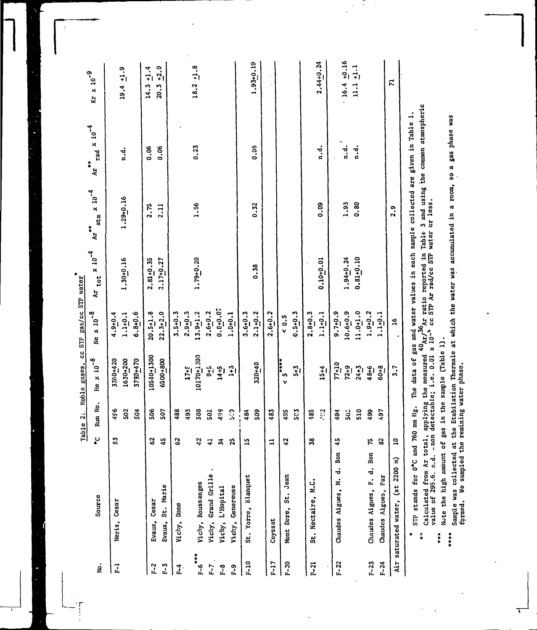|                        |                                  |                |              | Table 2: Noble gases, cc STP gas/cc STP water |                     |                               |                                |                                 |                     |
|------------------------|----------------------------------|----------------|--------------|-----------------------------------------------|---------------------|-------------------------------|--------------------------------|---------------------------------|---------------------|
| ż                      | Source                           | پ              | Run No.      | $He \times 10^{-8}$                           | Ne $\times 10^{-8}$ | $Ar$ tot $x$ 10 <sup>-4</sup> | $at_m \times 10^{-4}$<br>$A**$ | Ar $_{\text{rad}}$ x $10^{-4}$  | $Kr \times 10^{-9}$ |
| $\overline{1}$         | Neris, Cesar                     | ះ              | 496          | 3360+420                                      | $4.9 + 0.4$         |                               |                                |                                 |                     |
|                        |                                  |                | 502          | 1630+200                                      | $1.1 + 0.1$         | $1.30 + 0.16$                 | $1.29 + 0.16$                  | $\frac{1}{n}$ .                 | $19.4 \pm 0.9$      |
|                        |                                  |                | 504          | 3780+470                                      | $6.8 + 0.6$         |                               |                                |                                 |                     |
| $F-2$                  | Evaux, Cesar                     | 3              | 506          | 10540+1300                                    | $20.5 + 1.8$        | $2.81 + 0.35$                 | 2.75                           | <b>80.0</b>                     | $14.3 + 1.4$        |
| $F-3$                  | Evaux, St. Marie                 | $\frac{5}{4}$  | 507          | 6500+800                                      | $22.3 + 2.0$        | $2.17 + 0.27$                 | 2.11                           | 0.06                            | $20.3 + 2.0$        |
| F <sub>1</sub>         | Vichy, Dome                      | 3              | 488          |                                               | $3.5 + 0.3$         |                               |                                |                                 |                     |
|                        |                                  |                | 493          | $17 + 5$                                      | $2.9 + 0.3$         |                               |                                |                                 |                     |
| $F - 6$ <sup>***</sup> | Vichy, Boussanges                | ć,             | 508          | 10170+1300                                    | $13.9 + 1.2$        | $1.79 + 0.20$                 | 1.56                           | 0.23                            | $18.2 + 1.8$        |
| $E - 7$                | Vichy, Grand Grille              | $\overline{4}$ | 501          |                                               | $2.6 + 0.2$         |                               |                                |                                 |                     |
| $F-8$                  | Vichy, L'Hopital                 | ¥,             | 493          | $\frac{3}{2}$<br>$\frac{1}{2}$                | $0.8 + 0.07$        |                               |                                |                                 |                     |
| $\frac{9}{1}$          | Vichy, Genereuse                 | 25             | $\mathbb{C}$ | $\frac{1}{2}$                                 | $1.0 + 0.1$         |                               |                                |                                 |                     |
| $F-10$                 | St. Yorre, Blanquet              | 13             | 484          |                                               | $3.6 + 0.3$         |                               |                                |                                 |                     |
|                        |                                  |                | 503          | 320+40                                        | $2.1 + 0.2$         | 0.38                          | 0.32                           | 0.05                            | $1.93 + 0.19$       |
| $F-17$                 | Ceyssat                          | $\mathbf{r}$   | 483          |                                               | $2.6 + 0.2$         |                               |                                |                                 |                     |
| $F-20$                 | Mont Dore, St. Jean              | 42             | 495          | $5 + 3$<br>v                                  | 4.0.5               |                               |                                |                                 |                     |
|                        |                                  |                | 503          | $5 + 3$                                       | $0.5 + 0.3$         |                               |                                |                                 |                     |
| $R-21$                 | St. Nectaire, M.C.               | 38             | 185          |                                               | $2.8 + 0.3$         |                               |                                |                                 |                     |
|                        |                                  |                | $\mathbb{C}$ | $15 + 4$                                      | $1.1 + 0.1$         | $0.10 + 0.01$                 | 0.09                           | $\mathbf{a} \cdot \mathbf{d}$   | $2.44 + 0.24$       |
| $F-22$                 | Chaudes Aigues, M. d. Bon        | 45             | 494          | $77 + 10$                                     | $9.7 + 0.9$         |                               |                                |                                 |                     |
|                        |                                  |                | 502          | $72 + 9$                                      | $10.6 + 0.9$        | $1.94 + 0.24$                 | 1.93                           | $\ddot{a}$ .                    | $16.4 + 0.16$       |
|                        |                                  |                | 510          | $24 + 3$                                      | $11.0 + 1.0$        | $0.81 + 0.10$                 | 0.80                           | $\mathbf{a} \cdot \mathbf{d}$ . | $11.1 + 1.1$        |
| $F - 23$               | d. Bon<br>Chaudes Aigues, F.     | 15             | 499          | 48+6                                          | $1.9 + 0.2$         |                               |                                |                                 |                     |
| $-24$                  | Chaudes Aigues, Par              | 82             | 497          | $60 + 8$                                      | $1.1 + 0.1$         |                               |                                |                                 |                     |
|                        | Air saturated water, (at 2200 m) | $\overline{a}$ |              | 5.7                                           | $\frac{6}{1}$       |                               | 2.9                            |                                 | $\mathbf{r}$        |
|                        |                                  |                |              |                                               |                     |                               |                                |                                 |                     |

STP stands for 0°C and 760 mm Hg. The data of gas and water values in each sample collected are given in Table 1.  $\bullet$ 

 $\ddot{\phantom{0}}$ Ξ

> Calculated from Ar total, applying the measured  ${}^{40}$ Ar/ ${}^{36}$ Ar ratio reported in Table 3 and using the common atmospheric value of 295.6. n.d. - non detectable; 1.e. 0.01 x 10<sup>-6</sup> cc STP Ar rad/cc STP water or less.  $\frac{1}{3}$  $\ddot{\dot{}}$

Note the high amount of gas in the sample (Table 1).

Sample was collected at the Etabilation Thermale at which the water was accumulated in a room, so a gas phase was<br>formed. We sampled the remining water phase. \*\*\*\*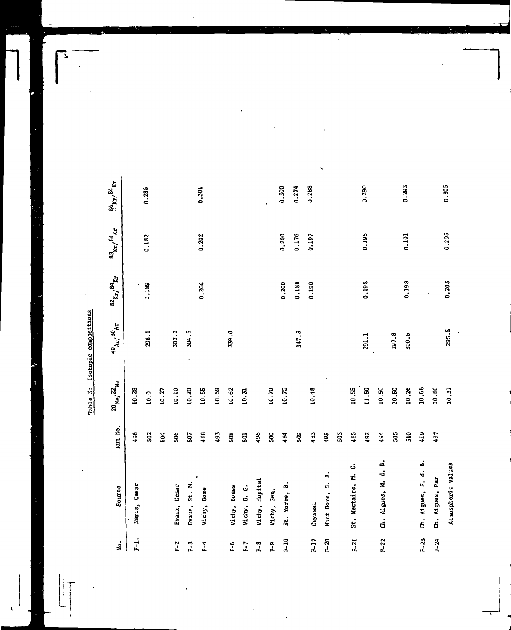Table 3: Isotopic compositions

| ż.             | Source                 | Run No. | $20$ <sub>Ne<math>\sqrt{22}</math>Ne</sub> | $^{40}\mathrm{Ar}/^{36}\mathrm{Ar}$ | $\mathrm{^{82} \mathrm{Kr}} / \mathrm{^{84} \mathrm{Kr}}$ | ${^{83}\rm{kr}}/{\rm ^{84}kr}$ | 86 <sub>кг</sub> , 84 <sub>кг</sub> |
|----------------|------------------------|---------|--------------------------------------------|-------------------------------------|-----------------------------------------------------------|--------------------------------|-------------------------------------|
| $F-1$ .        | Neris, Cesar           | 496     | 10.28                                      |                                     |                                                           |                                |                                     |
|                |                        | 502     | 10.0                                       | 298.1                               | 0.189                                                     | 0.182                          | 0.286                               |
|                |                        | 504     | 10.27                                      |                                     |                                                           |                                |                                     |
| $F - 2$        | Evaux, Cesar           | 506     | 10.10                                      | 302.2                               |                                                           |                                |                                     |
| $\frac{5}{2}$  | Evaus, St. M.          | 507     | 10.20                                      | 304.5                               |                                                           |                                |                                     |
| $\frac{4}{1}$  | Vichy, Dome            | 488     | 10.55                                      |                                     | 0.204                                                     | 0.202                          | 0.301                               |
|                |                        | 493     | 10.69                                      |                                     |                                                           |                                |                                     |
| $\frac{6}{1}$  | Vichy, Bouss           | 508     | 10.62                                      | 339.0                               |                                                           |                                |                                     |
| $F - 7$        | Vichy, G. G.           | 501     | 10.31                                      |                                     |                                                           |                                |                                     |
| $\frac{8}{11}$ | Vichy, Hopital         | 498     |                                            |                                     |                                                           |                                |                                     |
| $F-9$          | Vichy, Gen.            | 500     | 10.70                                      |                                     |                                                           |                                |                                     |
| $\frac{5}{1}$  | St. Yorre, B.          | 484     | 10.75                                      |                                     | 0.200                                                     | 0.200                          | 0.300                               |
|                |                        | 503     |                                            | 347.8                               | 0.188                                                     | 0.176                          | 0.274                               |
| $F-17$         | Ceyssat                | 483     | 10.48                                      |                                     | 0.190                                                     | 0.197                          | 0.288                               |
| $F - 20$       | 5<br>Mont Dore, S.     | 495     |                                            |                                     |                                                           |                                |                                     |
|                |                        | 503     |                                            |                                     |                                                           |                                |                                     |
| $F-21$         | Ġ<br>St. Mectaire, M.  | 485     | 10.55                                      |                                     |                                                           |                                |                                     |
|                |                        | 492     | 11.50                                      | 291.1                               | 0.198                                                     | 0.195                          | 0.290                               |
| $F - 22$       | ä<br>Ch. Aigues, M. d. | 494     | 10.50                                      |                                     |                                                           |                                |                                     |
|                |                        | 505     | 10.50                                      | 297.8                               |                                                           |                                |                                     |
|                |                        | 510     | 10.26                                      | 300.6                               | 0.198                                                     | 0.191                          | 0.293                               |
| $F - 23$       | ã<br>Ch. Aigues, F. d. | 459     | 10.68                                      |                                     |                                                           |                                |                                     |
| $F - 24$       | Ch. Aigues, Par        | 497     | 10.80                                      |                                     |                                                           |                                |                                     |
|                | Atmospheric values     |         | 10.31                                      | 295.5                               | 0.203                                                     | 0.203                          | 0.305                               |

Ī.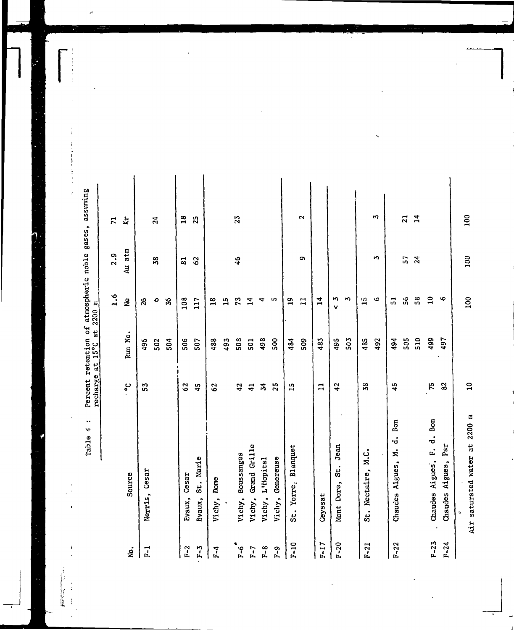|                | $\ddot{\phantom{0}}$<br>4<br>Table                       | recharge       | Percent retention of atmospheric noble<br>recharge at 15°C at 2200 m<br>$a_i$ |                 | gases,                  | assuming        |
|----------------|----------------------------------------------------------|----------------|-------------------------------------------------------------------------------|-----------------|-------------------------|-----------------|
|                |                                                          |                |                                                                               | $\frac{6}{1}$   | 2.9                     | $\mathbf{r}$    |
| ż.             | Source                                                   | ပ္စ            | Run No.                                                                       | $\frac{9}{2}$   | atm<br>$\ddot{a}$       | $\kappa$        |
| $\overline{r}$ | Cesar<br>Nerris,                                         | ភ្ល            | 496                                                                           | 8č              |                         |                 |
|                |                                                          |                | 502                                                                           | ٥               | 38                      | $\overline{24}$ |
|                |                                                          |                | 504                                                                           | S,              |                         |                 |
| $F-2$          | Cesar<br>Evaux,                                          | 62             | 506                                                                           | 108             | $\overline{\mathbf{5}}$ | $\overline{18}$ |
| $F - 3$        | St. Marie<br>Evaux,                                      | 45             | 507                                                                           | 117             | 62                      | 25              |
| $F-4$          | Dome<br>Vichy,                                           | 3              | 488                                                                           | $\overline{18}$ |                         |                 |
|                |                                                          |                | 493                                                                           | $\overline{1}$  |                         |                 |
| $F - 6$        | Vichy, Boussanges                                        | 42             | 508                                                                           | 13              | $\frac{6}{4}$           | 23              |
| $F - 7$        | Grand Grille<br>Vichy,                                   | $\overline{4}$ | 501                                                                           | $\overline{1}$  |                         |                 |
| $F - 8$        | L'Hopital<br>Vichy,                                      | 24             | 498                                                                           | 4               |                         |                 |
| $F - 9$        | Genereuse<br>Vichy,                                      | $\frac{5}{2}$  | 500                                                                           | LO <sub>1</sub> |                         |                 |
| $P-10$         | St. Yorre, Blanquet                                      | $\mathbf{r}$   | 484                                                                           | $\mathbf{a}$    |                         |                 |
|                |                                                          |                | 509                                                                           | $\mathbf{I}$    | c                       | $\mathbf{C}$    |
| $F-17$         | Ceyssat                                                  | $\mathbf{r}$   | 483                                                                           | 14              |                         |                 |
| $F - 20$       | Jean<br>.<br>35<br>Mont Dore,                            | 42             | 495                                                                           | ю<br>v          |                         |                 |
|                |                                                          |                | 503                                                                           | M,              |                         |                 |
| $F - 21$       | St. Nectaire, M.C.                                       | 38             | 485                                                                           | $\overline{1}$  |                         |                 |
|                |                                                          |                | 492                                                                           | ۱o              | 5                       | w               |
| $F - 22$       | Bon<br>.<br>ت<br>ż<br>Chaudes Aigues,                    | 45             | 494                                                                           | ឆ               |                         |                 |
|                |                                                          |                | 505                                                                           | န္တ             | ត្ត                     | $\overline{21}$ |
|                |                                                          |                | 510                                                                           | $\frac{8}{5}$   | 24                      | $\overline{1}$  |
| $F - 23$       | Bon<br>$\overline{a}$<br>$\mathbf{r}$<br>Chaudes Aigues, | 15             | 499                                                                           | $\overline{10}$ |                         |                 |
| $F - 24$       | Par<br>Chaudes Aigues,                                   | 82             | 497                                                                           | Ó               |                         |                 |
|                |                                                          |                |                                                                               |                 |                         |                 |

 $\tilde{\mathcal{C}}$ 

÷

 $\frac{1}{2}$  , where  $\frac{1}{2}$  and  $\frac{1}{2}$ 

 $\epsilon$ 

l,

Ŀ

 $F = \frac{1}{2}$  $\overline{1}$ 

 $\overline{10}$ 

100

100

100

Air saturated water at 2200 m

 $\ddot{\phantom{0}}$ 

 $\frac{\theta}{\theta}$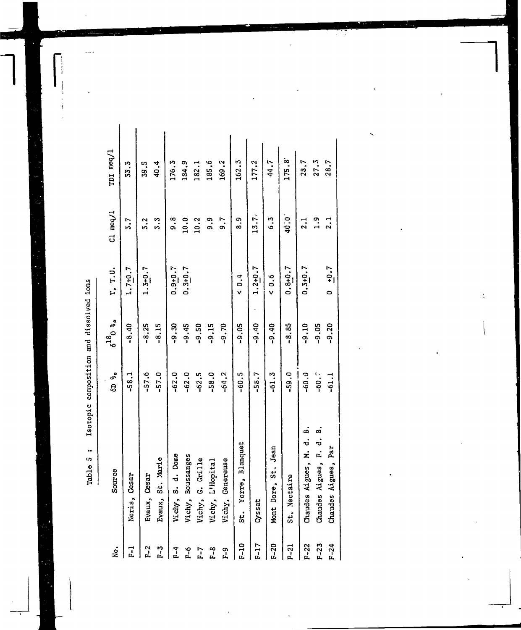Isotopic composition and dissolved ions Table 5 :

ı

| ġ            | Source                                   | <b>6D</b> % | $\delta^{18}$ 0 $\frac{8}{96}$ | T, T.U.     | $C1$ meq/ $1$ | TDI meq/1   |
|--------------|------------------------------------------|-------------|--------------------------------|-------------|---------------|-------------|
|              | Cesar<br>Neris                           | $-58.1$     | $-8.40$                        | $1.7 + 0.7$ | 3.7           | <b>53.3</b> |
|              | Cesar<br>Evaux,                          | $-57.6$     | $-8.25$                        | $1.3 + 0.7$ | 5.2           | 39.5        |
| ני<br>ה      | St. Marie<br>Evaux,                      | $-57.0$     | $-8.15$                        |             | 5.3           | 40.4        |
| $\mathbf{r}$ | S. d. Dome<br>Vichy,                     | $-62.0$     | $-9.30$                        | $0.9 + 0.7$ | თ.<br>თ       | 176.3       |
| ٩I           | Boussanges<br>Vichy,                     | $-62.0$     | $-9.45$                        | $0.3 + 0.7$ | 10.0          | 184.9       |
| <u>ւ</u>     | G. Grille<br>Vichy,                      | $-62.5$     | $-9.50$                        |             | 10.2          | 182.1       |
| ᅇ<br>ᅹ       | L'Hopital<br>Vichy,                      | $-58.0$     | $-9.15$                        |             | თ.<br>თ       | 185.6       |
| က<br>ကိ      | Genereuse<br>Vichy,                      | $-64.2$     | $-9.70$                        |             | 0.7           | 169.2       |
| $F-10$       | Yorre, Blanquet<br>$\ddot{x}$            | $-60.5$     | $-9.05$                        | †.0∨        | თ.<br>თ       | 162.3       |
| $F-17$       | Cyssat                                   | $-58.7$     | $-9.40$                        | $1.2 + 0.7$ | 13.7          | 177.2       |
| $F-20$       | St. Jean<br>Mont Dore,                   | $-61.3$     | $-9.40$                        | 0.6         | ه.<br>ه       | 44.7        |
| F-21         | taire<br>St. Nec                         | $-59.0$     | $-8.85$                        | $0.8 + 0.7$ | 40.0          | 175.8°      |
| $F - 22$     | ã<br>ಕ<br>ż.<br>Aigues,<br>Chaudes       | $-60.0$     | $-9.10$                        | $0.3 + 0.7$ | $\frac{1}{2}$ | 28.7        |
| $F - 23$     | ี่<br>=<br>=<br>r.<br>Aigues,<br>Chaudes | $-60.7$     | $-9.05$                        |             | $\frac{9}{1}$ | 27.3        |
|              | Aigues, Par<br>Chaudes                   | $-61.1$     | $-9.20$                        | $0 + 0.7$   | 2.1           | 28.7        |
|              |                                          |             |                                |             |               |             |

Ç  $\epsilon$ 

Ų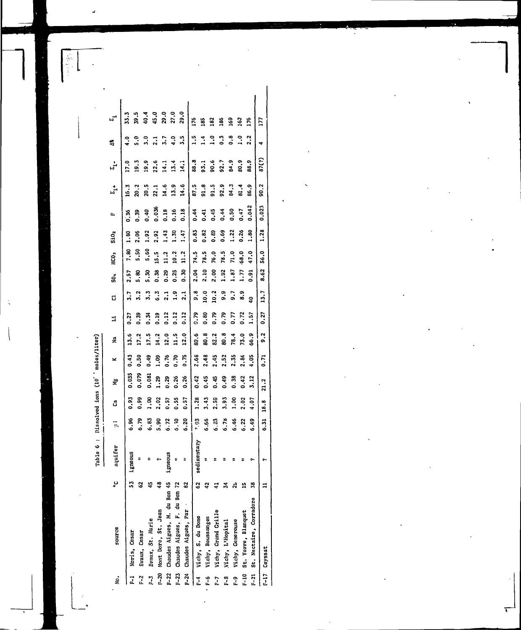| ş.             | source                                       | ي   | quifer             | ī.   | å           | 붗           | ×           | g             | E           | d                | នឹ          | HCO <sub>3</sub> | <b>SiO<sub>2</sub></b> | Ŀ,          | $\frac{1}{2}$ | $\frac{1}{b_1}$   | ś                               |                                                                                  |  |
|----------------|----------------------------------------------|-----|--------------------|------|-------------|-------------|-------------|---------------|-------------|------------------|-------------|------------------|------------------------|-------------|---------------|-------------------|---------------------------------|----------------------------------------------------------------------------------|--|
| $\overline{1}$ |                                              |     | Roous<br>្ម<br>អ្ន | 6.96 | 0.93        | 0.035       | 0.43        | 13.6          | 0.27        | 5.7              | 2.57        | 7,80             | 3.80                   | 0.36        | 16.3          | $\overline{17.0}$ | $\ddot{\cdot}$                  | 5                                                                                |  |
| $\frac{2}{5}$  | Evaux, Cesar<br>Neris, Cesar                 |     | ÷                  | 6.79 | <b>0.99</b> | 0.079       | <b>S</b>    | 17.2          | 0.39        | $\ddot{ }$       | 5.80        | 5.50             | ខ្លឹ                   | 0.39        | 20.2          | 19.3              | s.e                             | 39.5                                                                             |  |
| $\frac{1}{2}$  | Braux, St. Marie                             |     |                    | 6.83 | a.u         | 0.081       | 0.49        | 17.5          | 3<br>。      | د.<br>د          | 5.30        | <b>S</b> .60     | 1.92                   | 0.40        | 20.5          | <b>9.91</b>       | ះ                               |                                                                                  |  |
|                | F-20 Mont Dore, St. Jean                     |     |                    | 5.90 | 2.02        | 1.29        | e<br>i      | 14.2          | <b>QT.0</b> | د.<br>ه          | 0.38        | 15.5             | 2.92                   | 0.036       | 22.1          | 22.6              | $\overline{a}$                  |                                                                                  |  |
|                | F-22 Chaudes Aigues, M. du Bon 45            |     | <b>Smote</b><br>ë  | 6.72 | 0.57        | 0.29        | <b>0.76</b> | 12.0          | 0.12        | $\overline{2}$ . | 0.29        | $\frac{3}{11}$   | 1.43                   | 0.18        | 14.6          | $\frac{1}{2}$     | $\overline{3}$ . $\overline{7}$ | 4<br>4<br>4<br>4<br>2<br>2<br>2<br>2<br>2<br>2<br>2<br>2<br>2<br>2<br>2<br>2<br> |  |
|                | F-23 Chaudes Aigues, F. du Bon 72            |     |                    | 6.70 | 0.55        | 0.26        | ິ<br>ວ      | $\frac{1}{1}$ | 0.12        | $\ddot{ }$ .     | 0.25        | 10.2             | 1.30                   | <b>9T.0</b> | 13.9          | 13.4              | $\ddot{ }$                      |                                                                                  |  |
|                | F-24 Chaudes Aigues, Par                     | 82  | ÷                  | 6.20 | 0.57        | 0.26        | 0.75        | 12.0          | 0.12        | $\mathbf{r}$     | <b>0.30</b> | $\frac{3}{11}$   | 147                    | 0.18        | 14.6          | 14.1              | 5.5                             | <u>្</u><br>និ                                                                   |  |
|                | F-4 Vichy, S. du Dome                        | S   | sedimentary        | 0.61 | 1.28        | 0.42        | 2.68        | 80.6          | 0.79        |                  | 2.04        | 74.5             | 0.83                   | 0.44        | 87.5          | 88.8              | $\ddot{ }$                      | <b>PC</b>                                                                        |  |
|                | F-6 Vichy, Boussanges                        |     |                    | 6.66 | 5.43        | 0.45        | 2.48        | 80.8          | 0.80        | <b>D.OI</b>      | 2.10        | 78.5             | 0.82                   | 0.41        | 91.8          | 93.1              | 1.4                             | 185                                                                              |  |
| 7.             | Vichy, Grand Grille                          |     |                    | 6.33 | 2.59        | 0.45        | 2.45        | 82.2          | 0.79        | 10.2             | 2,00        | 76.0             | 0.89                   | <b>9.45</b> | 91.5          | 9.6               | $\frac{1}{2}$                   | 182                                                                              |  |
| $1 - 3$        | Vichy, L'Hopital                             |     |                    | 6.78 | 5.93        | <b>6r'0</b> | 2.52        | 80.B          | 0.79        | ი.<br>მ          | 1.92        | 78.5             | 0.69                   | <b>0.44</b> | 92.9          | 92.7              | $\ddot{0}$                      | 86                                                                               |  |
| ი<br>"         |                                              |     |                    | 6.46 | oo.r        | 0.38        | 2.35        | 78.4          | 0.77        | 5.               | 1.87        | 71.0             | 1.22                   | 0.50        | 84.3          | 84.9              | °.0                             | 99                                                                               |  |
|                | F-10 St. Yorre, Blanquet<br>Vichy, Genereuse | u,  |                    | 6.22 | 2.02        | 0.42        | 2.84        | 73.0          | 0.72        | 8.9              | 1.77        | $-68.0$          | 0.26                   | 0.47        | $\frac{4}{3}$ | 80.9              | 1.0                             | 3                                                                                |  |
|                | F-21 St. Nectaire, Corradore                 | ន្ល |                    | 6.49 | 4.07        | 3.12        | 4.05        | 6.3           | 1.57        | å                | 5.91        | 47.0             | 1.80                   | 0.042       | 86.9          | 88.9              | 2.2                             | Ĕ,                                                                               |  |
|                | F-17 Ceyssat                                 |     | ç.                 | 6.31 | 18.8        | ٦<br>ನ      | 0.71        | ષ<br>o        | 0.27        | 13.7             | 8.62        | 56.0             | 1.28                   | 0.023       | 90.2          | 87(?)             | ۰                               | 177                                                                              |  |
|                |                                              |     |                    |      |             |             |             |               |             |                  |             |                  |                        |             |               |                   |                                 |                                                                                  |  |

Table 6 : Dissolved ions (10' moles/liter)

Ń

1.1.3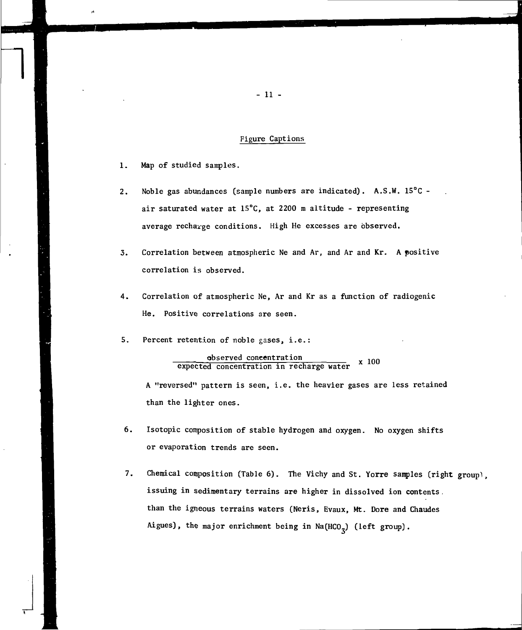### Figure Captions

- 1. Map of studied samples.
- 2. Noble gas abundances (sample numbers are indicated).  $A.S.W. 15^{\circ}C$ air saturated water at  $15^{\circ}$ C, at 2200 m altitude - representing average recharge conditions. High He excesses are observed.
- 3. Correlation between atmospheric Ne and Ar, and Ar and Kr. A positive correlation is observed.
- 4. Correlation of atmospheric Ne, Ar and Kr as a function of radiogenic He. Positive correlations are seen.
- 5. Percent retention of noble gases, i.e.:

observed concentration expected concentration in recharge water x 100

A "reversed" pattern is seen, i.e. the heavier gases are less retained than the lighter ones.

- 6. Isotopic composition of stable hydrogen and oxygen. No oxygen shifts or evaporation trends are seen.
- 7. Chemical composition (Table 6). The Vichy and St. Yorre samples (right groupl, issuing in sedimentary terrains are higher in dissolved ion contents. than the igneous terrains waters (Neris, Evaux, Mt. Dore and Chaudes Aigues), the major enrichment being in  $Na(HCO<sub>z</sub>)$  (left group).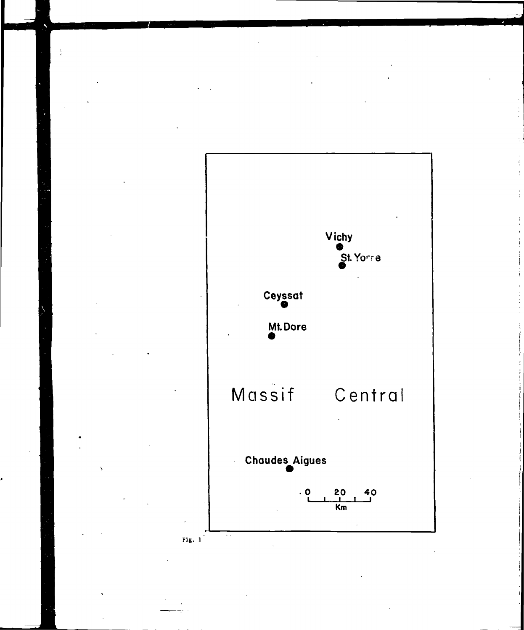

 $\frac{1}{2}$ 

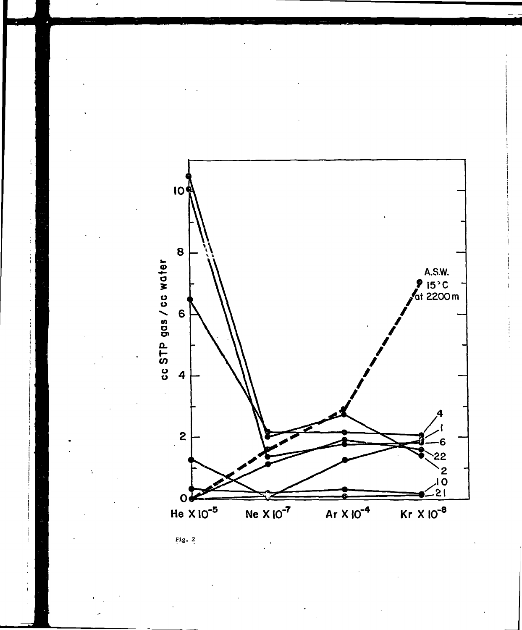



 $\ddot{\ddot{\cdot}}$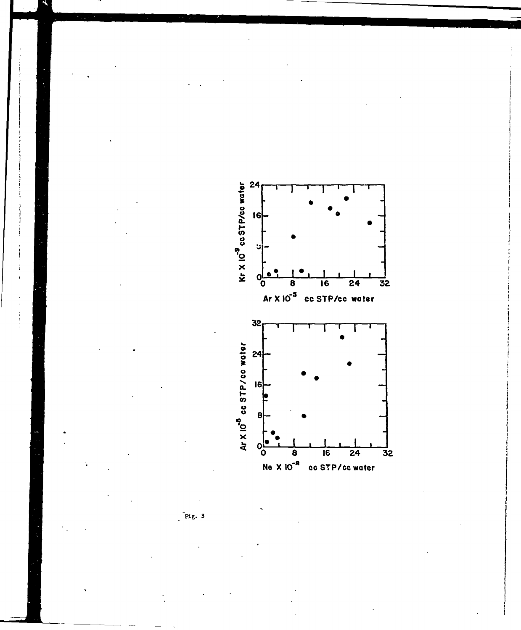

 $Fix. 3$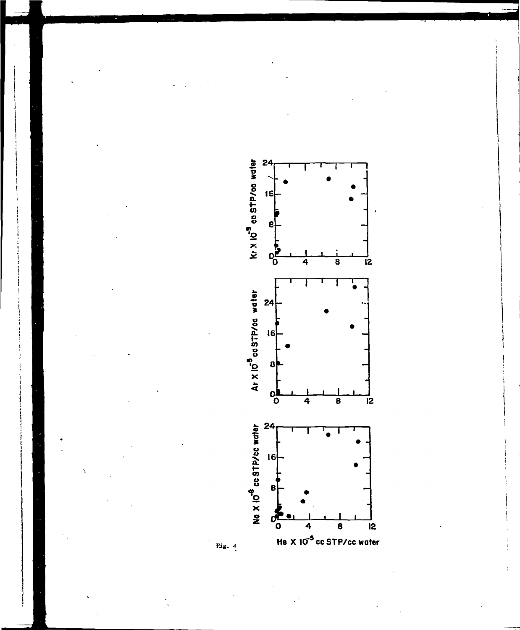

Fig.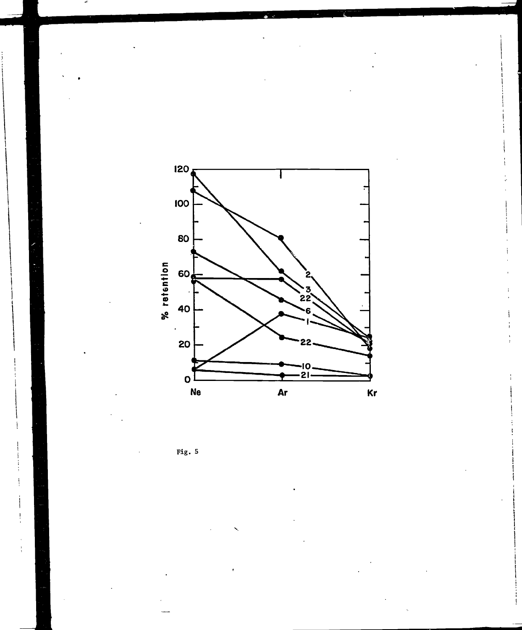

Fig.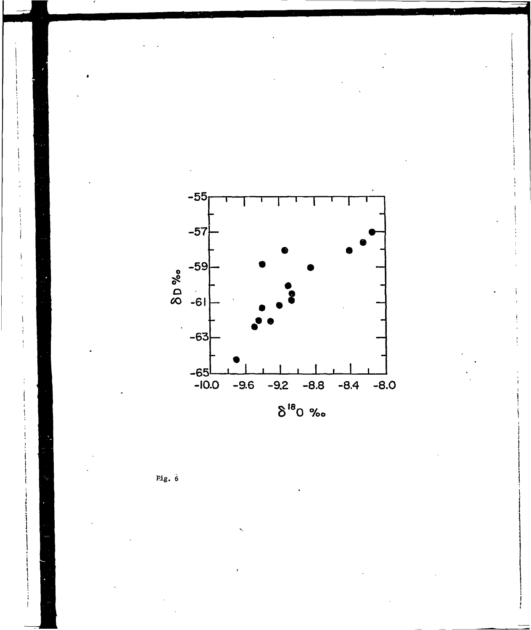

Fig.  $6$ 

 $\frac{1}{4}$  $\frac{1}{2}$ 

 $\frac{1}{2}$